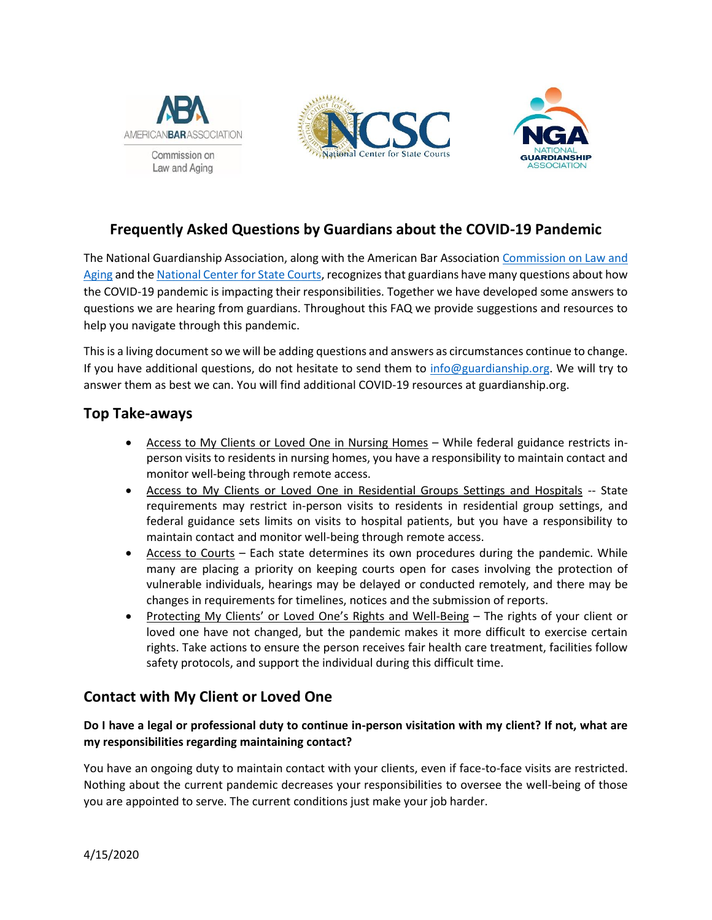





# **Frequently Asked Questions by Guardians about the COVID-19 Pandemic**

The National Guardianship Association, along with the American Bar Association [Commission on Law and](https://www.americanbar.org/groups/law_aging/)  [Aging](https://www.americanbar.org/groups/law_aging/) and the [National Center for State Courts,](https://www.ncsc.org/) recognizes that guardians have many questions about how the COVID-19 pandemic is impacting their responsibilities. Together we have developed some answers to questions we are hearing from guardians. Throughout this FAQ we provide suggestions and resources to help you navigate through this pandemic.

This is a living document so we will be adding questions and answers as circumstances continue to change. If you have additional questions, do not hesitate to send them to [info@guardianship.org.](mailto:info@guardianship.org) We will try to answer them as best we can. You will find additional COVID-19 resources at guardianship.org.

## **Top Take-aways**

- Access to My Clients or Loved One in Nursing Homes While federal guidance restricts inperson visits to residents in nursing homes, you have a responsibility to maintain contact and monitor well-being through remote access.
- Access to My Clients or Loved One in Residential Groups Settings and Hospitals -- State requirements may restrict in-person visits to residents in residential group settings, and federal guidance sets limits on visits to hospital patients, but you have a responsibility to maintain contact and monitor well-being through remote access.
- Access to Courts Each state determines its own procedures during the pandemic. While many are placing a priority on keeping courts open for cases involving the protection of vulnerable individuals, hearings may be delayed or conducted remotely, and there may be changes in requirements for timelines, notices and the submission of reports.
- Protecting My Clients' or Loved One's Rights and Well-Being The rights of your client or loved one have not changed, but the pandemic makes it more difficult to exercise certain rights. Take actions to ensure the person receives fair health care treatment, facilities follow safety protocols, and support the individual during this difficult time.

# **Contact with My Client or Loved One**

## **Do I have a legal or professional duty to continue in-person visitation with my client? If not, what are my responsibilities regarding maintaining contact?**

You have an ongoing duty to maintain contact with your clients, even if face-to-face visits are restricted. Nothing about the current pandemic decreases your responsibilities to oversee the well-being of those you are appointed to serve. The current conditions just make your job harder.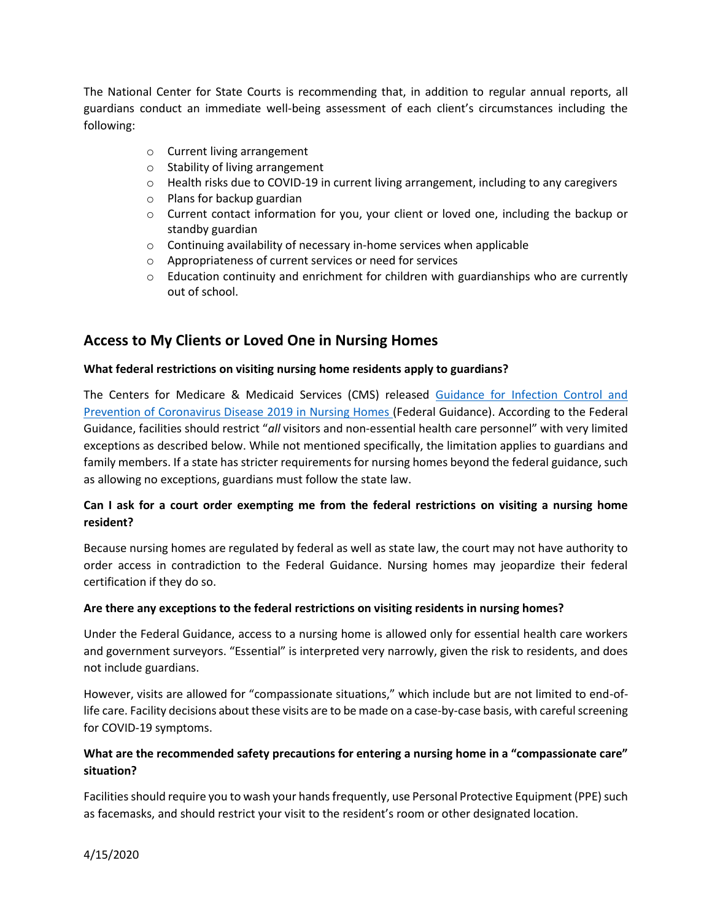The National Center for State Courts is recommending that, in addition to regular annual reports, all guardians conduct an immediate well-being assessment of each client's circumstances including the following:

- o Current living arrangement
- o Stability of living arrangement
- $\circ$  Health risks due to COVID-19 in current living arrangement, including to any caregivers
- o Plans for backup guardian
- $\circ$  Current contact information for you, your client or loved one, including the backup or standby guardian
- $\circ$  Continuing availability of necessary in-home services when applicable
- o Appropriateness of current services or need for services
- $\circ$  Education continuity and enrichment for children with guardianships who are currently out of school.

## **Access to My Clients or Loved One in Nursing Homes**

#### **What federal restrictions on visiting nursing home residents apply to guardians?**

The Centers for Medicare & Medicaid Services (CMS) released [Guidance for Infection Control and](https://www.cms.gov/files/document/3-13-2020-nursing-home-guidance-covid-19.pdf)  [Prevention of Coronavirus Disease 2019 in Nursing Homes \(](https://www.cms.gov/files/document/3-13-2020-nursing-home-guidance-covid-19.pdf)Federal Guidance). According to the Federal Guidance, facilities should restrict "*all* visitors and non-essential health care personnel" with very limited exceptions as described below. While not mentioned specifically, the limitation applies to guardians and family members. If a state has stricter requirements for nursing homes beyond the federal guidance, such as allowing no exceptions, guardians must follow the state law.

#### **Can I ask for a court order exempting me from the federal restrictions on visiting a nursing home resident?**

Because nursing homes are regulated by federal as well as state law, the court may not have authority to order access in contradiction to the Federal Guidance. Nursing homes may jeopardize their federal certification if they do so.

#### **Are there any exceptions to the federal restrictions on visiting residents in nursing homes?**

Under the Federal Guidance, access to a nursing home is allowed only for essential health care workers and government surveyors. "Essential" is interpreted very narrowly, given the risk to residents, and does not include guardians.

However, visits are allowed for "compassionate situations," which include but are not limited to end-oflife care. Facility decisions about these visits are to be made on a case-by-case basis, with careful screening for COVID-19 symptoms.

#### **What are the recommended safety precautions for entering a nursing home in a "compassionate care" situation?**

Facilities should require you to wash your hands frequently, use Personal Protective Equipment (PPE) such as facemasks, and should restrict your visit to the resident's room or other designated location.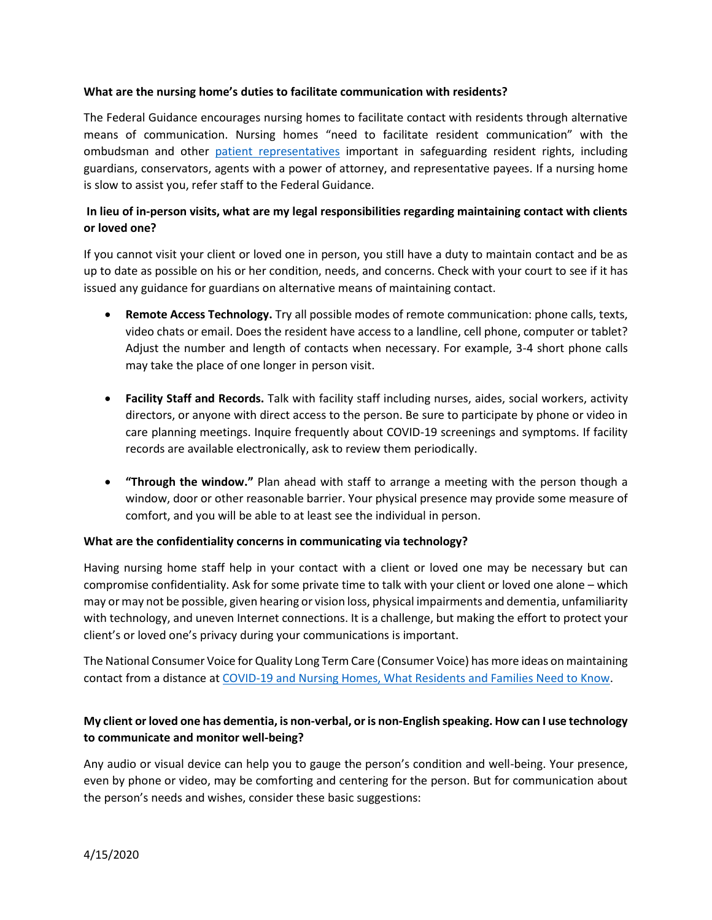#### **What are the nursing home's duties to facilitate communication with residents?**

The Federal Guidance encourages nursing homes to facilitate contact with residents through alternative means of communication. Nursing homes "need to facilitate resident communication" with the ombudsman and other [patient representatives](https://www.law.cornell.edu/cfr/text/42/483.10) important in safeguarding resident rights, including guardians, conservators, agents with a power of attorney, and representative payees. If a nursing home is slow to assist you, refer staff to the Federal Guidance.

### **In lieu of in-person visits, what are my legal responsibilities regarding maintaining contact with clients or loved one?**

If you cannot visit your client or loved one in person, you still have a duty to maintain contact and be as up to date as possible on his or her condition, needs, and concerns. Check with your court to see if it has issued any guidance for guardians on alternative means of maintaining contact.

- **Remote Access Technology.** Try all possible modes of remote communication: phone calls, texts, video chats or email. Does the resident have access to a landline, cell phone, computer or tablet? Adjust the number and length of contacts when necessary. For example, 3-4 short phone calls may take the place of one longer in person visit.
- **Facility Staff and Records.** Talk with facility staff including nurses, aides, social workers, activity directors, or anyone with direct access to the person. Be sure to participate by phone or video in care planning meetings. Inquire frequently about COVID-19 screenings and symptoms. If facility records are available electronically, ask to review them periodically.
- **"Through the window."** Plan ahead with staff to arrange a meeting with the person though a window, door or other reasonable barrier. Your physical presence may provide some measure of comfort, and you will be able to at least see the individual in person.

#### **What are the confidentiality concerns in communicating via technology?**

Having nursing home staff help in your contact with a client or loved one may be necessary but can compromise confidentiality. Ask for some private time to talk with your client or loved one alone – which may or may not be possible, given hearing or vision loss, physical impairments and dementia, unfamiliarity with technology, and uneven Internet connections. It is a challenge, but making the effort to protect your client's or loved one's privacy during your communications is important.

The National Consumer Voice for Quality Long Term Care (Consumer Voice) has more ideas on maintaining contact from a distance a[t COVID-19 and Nursing Homes, What Residents and Families Need to Know.](https://theconsumervoice.org/uploads/files/general/covid-19-consumer-fact-sheet.pdf)

#### **My client or loved one has dementia, is non-verbal, or is non-English speaking. How can I use technology to communicate and monitor well-being?**

Any audio or visual device can help you to gauge the person's condition and well-being. Your presence, even by phone or video, may be comforting and centering for the person. But for communication about the person's needs and wishes, consider these basic suggestions: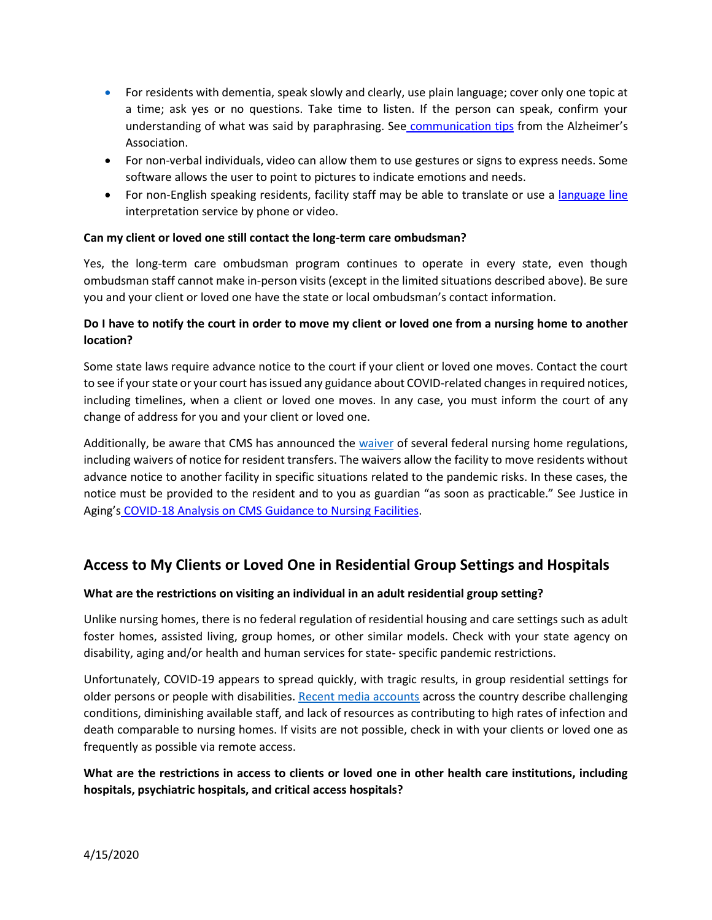- For residents with dementia, speak slowly and clearly, use plain language; cover only one topic at a time; ask yes or no questions. Take time to listen. If the person can speak, confirm your understanding of what was said by paraphrasing. See [communication tips](https://www.alz.org/help-support/caregiving/daily-care/communications) from the Alzheimer's Association[.](file:///C:/Users/pogachd/AppData/Local/Microsoft/Windows/INetCache/Content.Outlook/IW6P2S2B/alz%20assoc%20tips)
- For non-verbal individuals, video can allow them to use gestures or signs to express needs. Some software allows the user to point to pictures to indicate emotions and needs.
- For non-English speaking residents, facility staff may be able to translate or use a [language line](https://www.languageline.com/) interpretation service by phone or video.

#### **Can my client or loved one still contact the long-term care ombudsman?**

Yes, the long-term care ombudsman program continues to operate in every state, even though ombudsman staff cannot make in-person visits (except in the limited situations described above). Be sure you and your client or loved one have the state or local ombudsman's contact information.

### **Do I have to notify the court in order to move my client or loved one from a nursing home to another location?**

Some state laws require advance notice to the court if your client or loved one moves. Contact the court to see if your state or your court has issued any guidance about COVID-related changes in required notices, including timelines, when a client or loved one moves. In any case, you must inform the court of any change of address for you and your client or loved one.

Additionally, be aware that CMS has announced the [waiver](https://www.cms.gov/files/document/summary-covid-19-emergency-declaration-waivers.pdf) of several federal nursing home regulations, including waivers of notice for resident transfers. The waivers allow the facility to move residents without advance notice to another facility in specific situations related to the pandemic risks. In these cases, the notice must be provided to the resident and to you as guardian "as soon as practicable." See [Justice in](https://www.justiceinaging.org/wp-content/uploads/2020/04/CMS-Guidance-Waivers-to-Nursing-Facilities-During-COVID-19-Outbreak.pdf) Aging's [COVID-18 Analysis on CMS Guidance to Nursing Facilities.](https://www.justiceinaging.org/wp-content/uploads/2020/04/CMS-Guidance-Waivers-to-Nursing-Facilities-During-COVID-19-Outbreak.pdf)

# **Access to My Clients or Loved One in Residential Group Settings and Hospitals**

#### **What are the restrictions on visiting an individual in an adult residential group setting?**

Unlike nursing homes, there is no federal regulation of residential housing and care settings such as adult foster homes, assisted living, group homes, or other similar models. Check with your state agency on disability, aging and/or health and human services for state- specific pandemic restrictions.

Unfortunately, COVID-19 appears to spread quickly, with tragic results, in group residential settings for older persons or people with disabilities[. Recent media accounts](https://www.nytimes.com/2020/04/08/nyregion/coronavirus-disabilities-group-homes.html) across the country describe challenging conditions, diminishing available staff, and lack of resources as contributing to high rates of infection and death comparable to nursing homes. If visits are not possible, check in with your clients or loved one as frequently as possible via remote access.

## **What are the restrictions in access to clients or loved one in other health care institutions, including hospitals, psychiatric hospitals, and critical access hospitals?**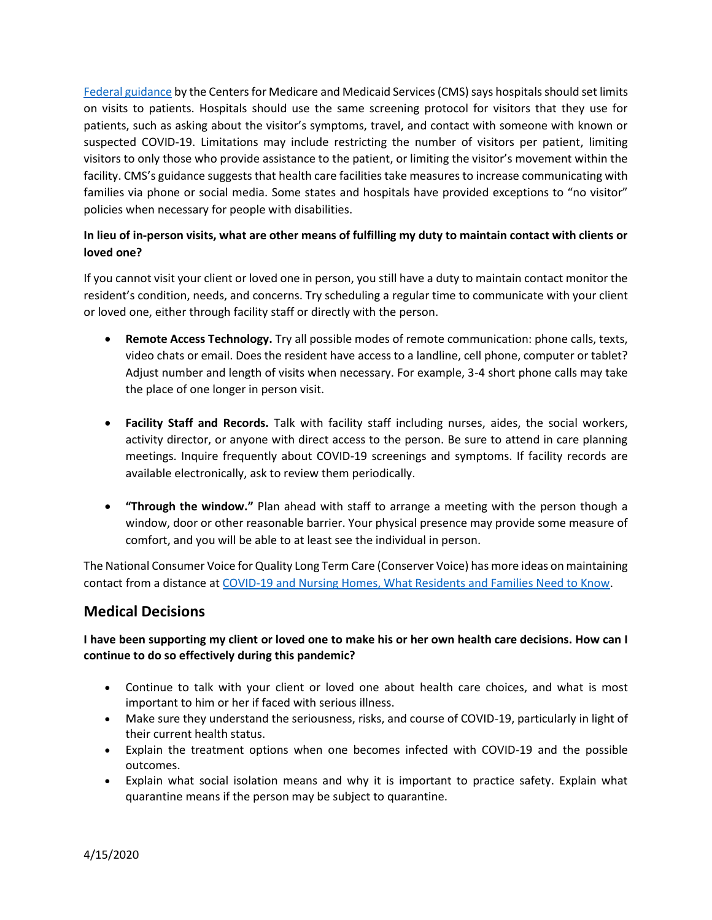[Federal guidance](https://www.cms.gov/files/document/qso-20-13-hospitals-cahs-revised.pdf) by the Centers for Medicare and Medicaid Services (CMS) says hospitals should set limits on visits to patients. Hospitals should use the same screening protocol for visitors that they use for patients, such as asking about the visitor's symptoms, travel, and contact with someone with known or suspected COVID-19. Limitations may include restricting the number of visitors per patient, limiting visitors to only those who provide assistance to the patient, or limiting the visitor's movement within the facility. CMS's guidance suggests that health care facilities take measures to increase communicating with families via phone or social media. Some states and hospitals have provided exceptions to "no visitor" policies when necessary for people with disabilities.

### **In lieu of in-person visits, what are other means of fulfilling my duty to maintain contact with clients or loved one?**

If you cannot visit your client or loved one in person, you still have a duty to maintain contact monitor the resident's condition, needs, and concerns. Try scheduling a regular time to communicate with your client or loved one, either through facility staff or directly with the person.

- **Remote Access Technology.** Try all possible modes of remote communication: phone calls, texts, video chats or email. Does the resident have access to a landline, cell phone, computer or tablet? Adjust number and length of visits when necessary. For example, 3-4 short phone calls may take the place of one longer in person visit.
- **Facility Staff and Records.** Talk with facility staff including nurses, aides, the social workers, activity director, or anyone with direct access to the person. Be sure to attend in care planning meetings. Inquire frequently about COVID-19 screenings and symptoms. If facility records are available electronically, ask to review them periodically.
- **"Through the window."** Plan ahead with staff to arrange a meeting with the person though a window, door or other reasonable barrier. Your physical presence may provide some measure of comfort, and you will be able to at least see the individual in person.

The National Consumer Voice for Quality Long Term Care (Conserver Voice) has more ideas on maintaining contact from a distance at [COVID-19 and Nursing Homes, What Residents and Families Need to Know.](https://theconsumervoice.org/uploads/files/general/covid-19-consumer-fact-sheet.pdf)

## **Medical Decisions**

#### **I have been supporting my client or loved one to make his or her own health care decisions. How can I continue to do so effectively during this pandemic?**

- Continue to talk with your client or loved one about health care choices, and what is most important to him or her if faced with serious illness.
- Make sure they understand the seriousness, risks, and course of COVID-19, particularly in light of their current health status.
- Explain the treatment options when one becomes infected with COVID-19 and the possible outcomes.
- Explain what social isolation means and why it is important to practice safety. Explain what quarantine means if the person may be subject to quarantine.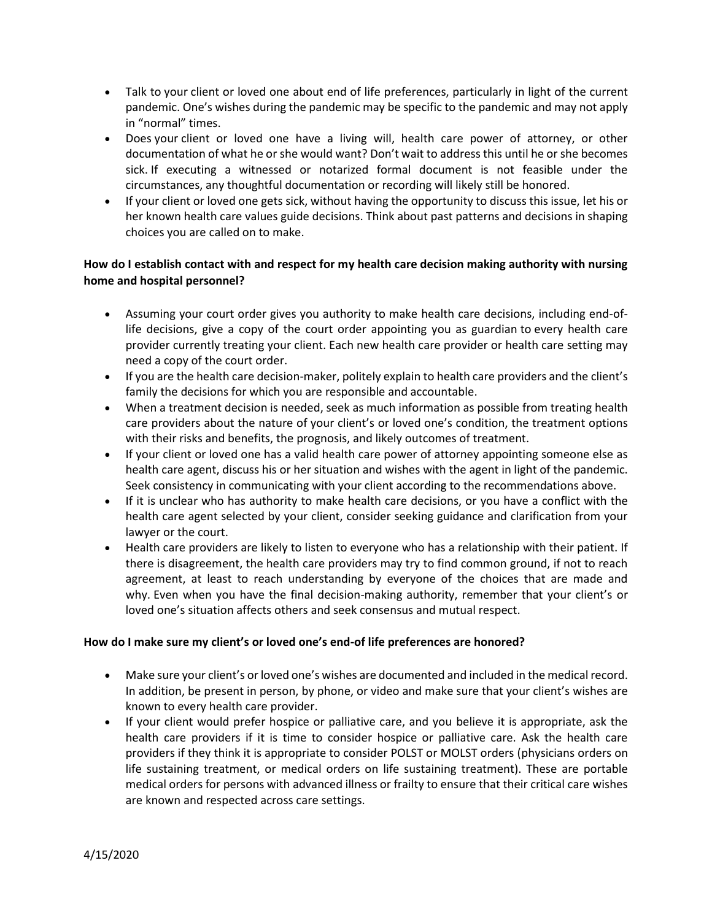- Talk to your client or loved one about end of life preferences, particularly in light of the current pandemic. One's wishes during the pandemic may be specific to the pandemic and may not apply in "normal" times.
- Does your client or loved one have a living will, health care power of attorney, or other documentation of what he or she would want? Don't wait to address this until he or she becomes sick. If executing a witnessed or notarized formal document is not feasible under the circumstances, any thoughtful documentation or recording will likely still be honored.
- If your client or loved one gets sick, without having the opportunity to discuss this issue, let his or her known health care values guide decisions. Think about past patterns and decisions in shaping choices you are called on to make.

### **How do I establish contact with and respect for my health care decision making authority with nursing home and hospital personnel?**

- Assuming your court order gives you authority to make health care decisions, including end-oflife decisions, give a copy of the court order appointing you as guardian to every health care provider currently treating your client. Each new health care provider or health care setting may need a copy of the court order.
- If you are the health care decision-maker, politely explain to health care providers and the client's family the decisions for which you are responsible and accountable.
- When a treatment decision is needed, seek as much information as possible from treating health care providers about the nature of your client's or loved one's condition, the treatment options with their risks and benefits, the prognosis, and likely outcomes of treatment.
- If your client or loved one has a valid health care power of attorney appointing someone else as health care agent, discuss his or her situation and wishes with the agent in light of the pandemic. Seek consistency in communicating with your client according to the recommendations above.
- If it is unclear who has authority to make health care decisions, or you have a conflict with the health care agent selected by your client, consider seeking guidance and clarification from your lawyer or the court.
- Health care providers are likely to listen to everyone who has a relationship with their patient. If there is disagreement, the health care providers may try to find common ground, if not to reach agreement, at least to reach understanding by everyone of the choices that are made and why. Even when you have the final decision-making authority, remember that your client's or loved one's situation affects others and seek consensus and mutual respect.

#### **How do I make sure my client's or loved one's end-of life preferences are honored?**

- Make sure your client's or loved one's wishes are documented and included in the medical record. In addition, be present in person, by phone, or video and make sure that your client's wishes are known to every health care provider.
- If your client would prefer hospice or palliative care, and you believe it is appropriate, ask the health care providers if it is time to consider hospice or palliative care. Ask the health care providers if they think it is appropriate to consider POLST or MOLST orders (physicians orders on life sustaining treatment, or medical orders on life sustaining treatment). These are portable medical orders for persons with advanced illness or frailty to ensure that their critical care wishes are known and respected across care settings.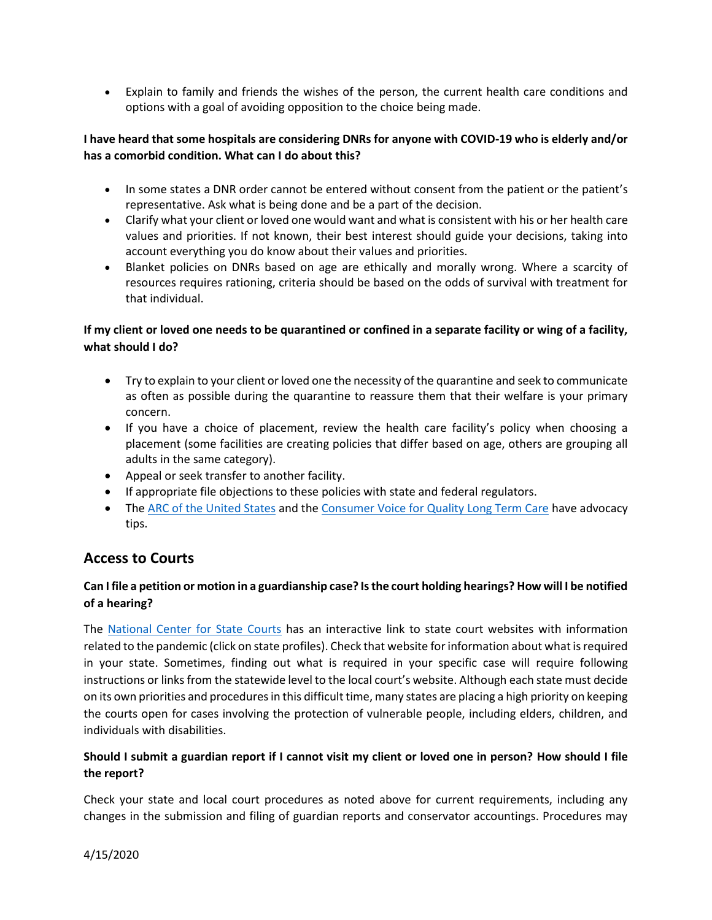• Explain to family and friends the wishes of the person, the current health care conditions and options with a goal of avoiding opposition to the choice being made.

#### **I have heard that some hospitals are considering DNRs for anyone with COVID-19 who is elderly and/or has a comorbid condition. What can I do about this?**

- In some states a DNR order cannot be entered without consent from the patient or the patient's representative. Ask what is being done and be a part of the decision.
- Clarify what your client or loved one would want and what is consistent with his or her health care values and priorities. If not known, their best interest should guide your decisions, taking into account everything you do know about their values and priorities.
- Blanket policies on DNRs based on age are ethically and morally wrong. Where a scarcity of resources requires rationing, criteria should be based on the odds of survival with treatment for that individual.

### **If my client or loved one needs to be quarantined or confined in a separate facility or wing of a facility, what should I do?**

- Try to explain to your client or loved one the necessity of the quarantine and seek to communicate as often as possible during the quarantine to reassure them that their welfare is your primary concern.
- If you have a choice of placement, review the health care facility's policy when choosing a placement (some facilities are creating policies that differ based on age, others are grouping all adults in the same category).
- Appeal or seek transfer to another facility.
- If appropriate file objections to these policies with state and federal regulators.
- The [ARC of the United States](https://thearc.org/) and th[e Consumer Voice for Quality Long Term Care](https://theconsumervoice.org/) have advocacy tips.

## **Access to Courts**

## **Can I file a petition or motion in a guardianship case? Is the court holding hearings? How will I be notified of a hearing?**

The [National Center for State Courts](https://www.ncsc.org/) has an interactive link to state court websites with information related to the pandemic (click on state profiles). Check that website for information about what is required in your state. Sometimes, finding out what is required in your specific case will require following instructions or links from the statewide level to the local court's website. Although each state must decide on its own priorities and procedures in this difficult time, many states are placing a high priority on keeping the courts open for cases involving the protection of vulnerable people, including elders, children, and individuals with disabilities.

## **Should I submit a guardian report if I cannot visit my client or loved one in person? How should I file the report?**

Check your state and local court procedures as noted above for current requirements, including any changes in the submission and filing of guardian reports and conservator accountings. Procedures may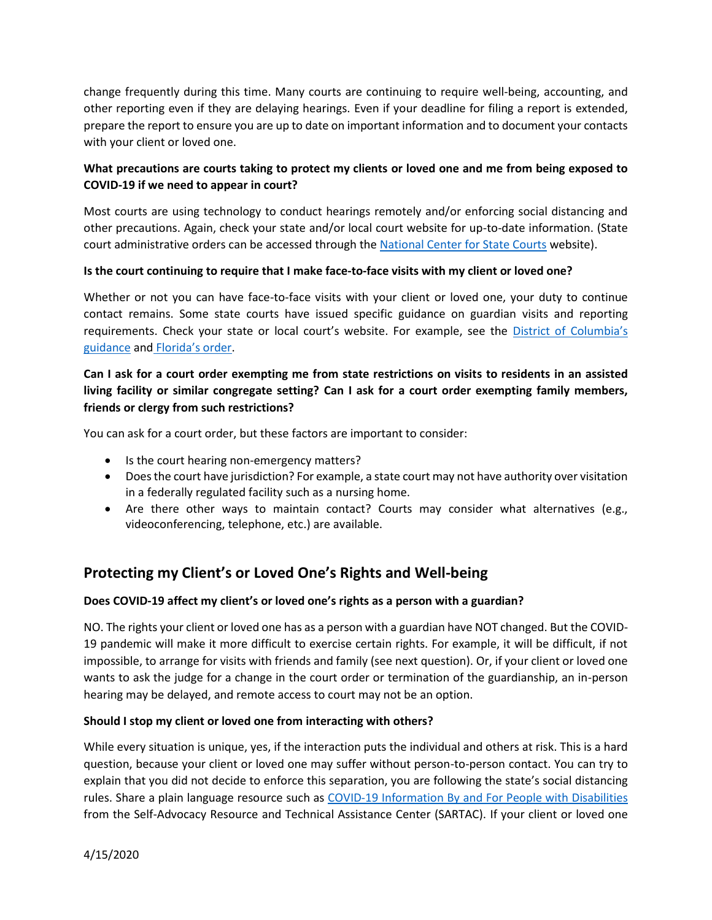change frequently during this time. Many courts are continuing to require well-being, accounting, and other reporting even if they are delaying hearings. Even if your deadline for filing a report is extended, prepare the report to ensure you are up to date on important information and to document your contacts with your client or loved one.

## **What precautions are courts taking to protect my clients or loved one and me from being exposed to COVID-19 if we need to appear in court?**

Most courts are using technology to conduct hearings remotely and/or enforcing social distancing and other precautions. Again, check your state and/or local court website for up-to-date information. (State court administrative orders can be accessed through th[e National Center for State Courts](https://www.ncsc.org/) website).

#### **Is the court continuing to require that I make face-to-face visits with my client or loved one?**

Whether or not you can have face-to-face visits with your client or loved one, your duty to continue contact remains. Some state courts have issued specific guidance on guardian visits and reporting requirements. Check your state or local court's website. For example, see the District of Columbia's [guidance](https://www.dccourts.gov/sites/default/files/matters-docs/COVID-19-Visitation.pdf) and [Florida's order](http://elderaffairs.state.fl.us/doea/oppg/docs/2020-03-31%20DOEA%20EO20-01%20Revised.pdf).

## **Can I ask for a court order exempting me from state restrictions on visits to residents in an assisted living facility or similar congregate setting? Can I ask for a court order exempting family members, friends or clergy from such restrictions?**

You can ask for a court order, but these factors are important to consider:

- Is the court hearing non-emergency matters?
- Does the court have jurisdiction? For example, a state court may not have authority over visitation in a federally regulated facility such as a nursing home.
- Are there other ways to maintain contact? Courts may consider what alternatives (e.g., videoconferencing, telephone, etc.) are available.

# **Protecting my Client's or Loved One's Rights and Well-being**

#### **Does COVID-19 affect my client's or loved one's rights as a person with a guardian?**

NO. The rights your client or loved one has as a person with a guardian have NOT changed. But the COVID-19 pandemic will make it more difficult to exercise certain rights. For example, it will be difficult, if not impossible, to arrange for visits with friends and family (see next question). Or, if your client or loved one wants to ask the judge for a change in the court order or termination of the guardianship, an in-person hearing may be delayed, and remote access to court may not be an option.

#### **Should I stop my client or loved one from interacting with others?**

While every situation is unique, yes, if the interaction puts the individual and others at risk. This is a hard question, because your client or loved one may suffer without person-to-person contact. You can try to explain that you did not decide to enforce this separation, you are following the state's social distancing rules. Share a plain language resource such as [COVID-19 Information By and For People with Disabilities](https://selfadvocacyinfo.org/wp-content/uploads/2020/03/Plain-Language-Information-on-Coronavirus.pdf) from the Self-Advocacy Resource and Technical Assistance Center (SARTAC). If your client or loved one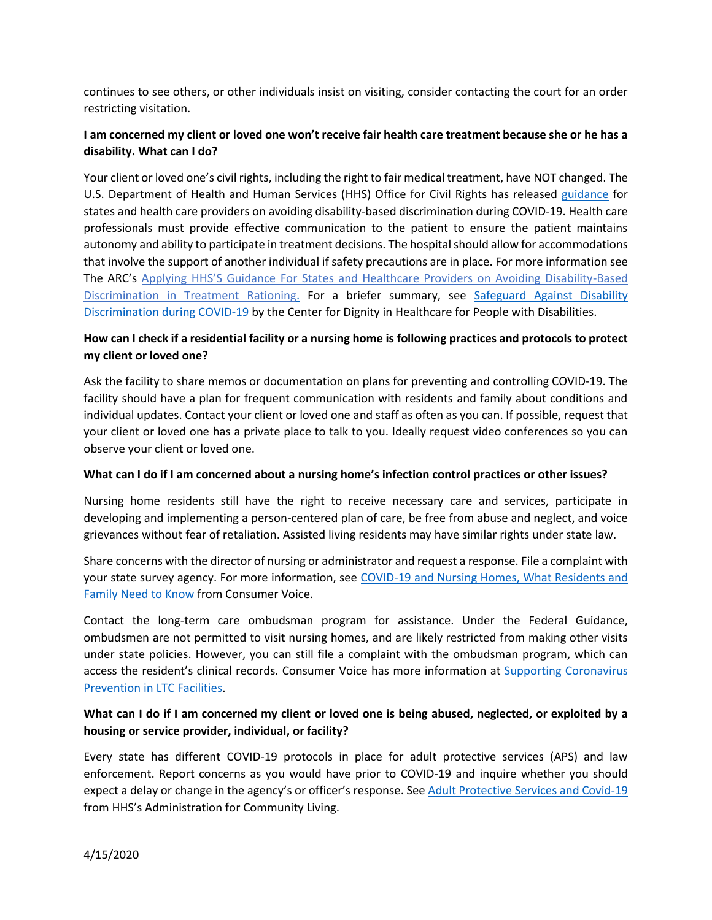continues to see others, or other individuals insist on visiting, consider contacting the court for an order restricting visitation.

## **I am concerned my client or loved one won't receive fair health care treatment because she or he has a disability. What can I do?**

Your client or loved one's civil rights, including the right to fair medical treatment, have NOT changed. The U.S. Department of Health and Human Services (HHS) Office for Civil Rights has released [guidance](https://www.hhs.gov/sites/default/files/ocr-bulletin-3-28-20.pdf?language=es) for states and health care providers on avoiding disability-based discrimination during COVID-19. Health care professionals must provide effective communication to the patient to ensure the patient maintains autonomy and ability to participate in treatment decisions. The hospital should allow for accommodations that involve the support of another individual if safety precautions are in place. For more information see The ARC's Applying HHS'S G[uidance For States and Healthcare Providers on Avoiding Disability-Based](http://thearc.org/wp-content/uploads/2020/04/Guidance-to-States-Hospitals_FINAL.pdf)  [Discrimination in Treatment Rationing.](http://thearc.org/wp-content/uploads/2020/04/Guidance-to-States-Hospitals_FINAL.pdf) For a briefer summary, see [Safeguard Against Disability](https://www.ucucedd.org/wp-content/uploads/2020/04/Center-for-Dignity-in-Health-Care-fact-sheet-on-rights-for-people-with-disabilities.pdf)  [Discrimination during COVID-19](https://www.ucucedd.org/wp-content/uploads/2020/04/Center-for-Dignity-in-Health-Care-fact-sheet-on-rights-for-people-with-disabilities.pdf) by the Center for Dignity in Healthcare for People with Disabilities.

## **How can I check if a residential facility or a nursing home is following practices and protocols to protect my client or loved one?**

Ask the facility to share memos or documentation on plans for preventing and controlling COVID-19. The facility should have a plan for frequent communication with residents and family about conditions and individual updates. Contact your client or loved one and staff as often as you can. If possible, request that your client or loved one has a private place to talk to you. Ideally request video conferences so you can observe your client or loved one.

#### **What can I do if I am concerned about a nursing home's infection control practices or other issues?**

Nursing home residents still have the right to receive necessary care and services, participate in developing and implementing a person-centered plan of care, be free from abuse and neglect, and voice grievances without fear of retaliation. Assisted living residents may have similar rights under state law.

Share concerns with the director of nursing or administrator and request a response. File a complaint with your state survey agency. For more information, see [COVID-19 and Nursing Homes, What Residents and](https://theconsumervoice.org/uploads/files/general/covid-19-consumer-fact-sheet.pdf)  [Family Need to Know](https://theconsumervoice.org/uploads/files/general/covid-19-consumer-fact-sheet.pdf) from Consumer Voice.

Contact the long-term care ombudsman program for assistance. Under the Federal Guidance, ombudsmen are not permitted to visit nursing homes, and are likely restricted from making other visits under state policies. However, you can still file a complaint with the ombudsman program, which can access the resident's clinical records. Consumer Voice has more information at [Supporting Coronavirus](https://theconsumervoice.org/issues/other-issues-and-resources/covid-19)  [Prevention in LTC Facilities.](https://theconsumervoice.org/issues/other-issues-and-resources/covid-19)

## **What can I do if I am concerned my client or loved one is being abused, neglected, or exploited by a housing or service provider, individual, or facility?**

Every state has different COVID-19 protocols in place for adult protective services (APS) and law enforcement. Report concerns as you would have prior to COVID-19 and inquire whether you should expect a delay or change in the agency's or officer's response. See [Adult Protective Services and Covid-19](https://acl.gov/sites/default/files/common/APS%20%20COVID-19%20FORMATTED.docx) from HHS's Administration for Community Living.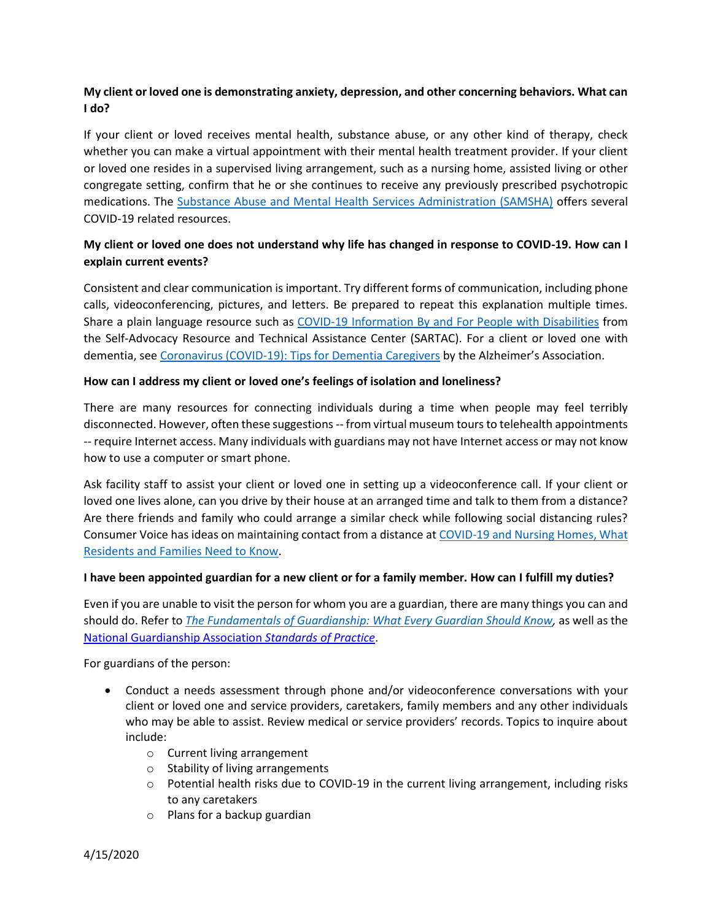## **My client or loved one is demonstrating anxiety, depression, and other concerning behaviors. What can I do?**

If your client or loved receives mental health, substance abuse, or any other kind of therapy, check whether you can make a virtual appointment with their mental health treatment provider. If your client or loved one resides in a supervised living arrangement, such as a nursing home, assisted living or other congregate setting, confirm that he or she continues to receive any previously prescribed psychotropic medications. The [Substance Abuse and Mental Health Services Administration \(SAMSHA\)](https://www.samhsa.gov/coronavirus) offers several COVID-19 related resources.

### **My client or loved one does not understand why life has changed in response to COVID-19. How can I explain current events?**

Consistent and clear communication is important. Try different forms of communication, including phone calls, videoconferencing, pictures, and letters. Be prepared to repeat this explanation multiple times. Share a plain language resource such as [COVID-19 Information By and For People with Disabilities](https://selfadvocacyinfo.org/wp-content/uploads/2020/03/Plain-Language-Information-on-Coronavirus.pdf) from the Self-Advocacy Resource and Technical Assistance Center (SARTAC). For a client or loved one with dementia, see [Coronavirus \(COVID-19\): Tips for Dementia Caregivers](https://alz.org/help-support/caregiving/coronavirus-(covid-19)-tips-for-dementia-care) by the Alzheimer's Association.

#### **How can I address my client or loved one's feelings of isolation and loneliness?**

There are many resources for connecting individuals during a time when people may feel terribly disconnected. However, often these suggestions -- from virtual museum tours to telehealth appointments -- require Internet access. Many individuals with guardians may not have Internet access or may not know how to use a computer or smart phone.

Ask facility staff to assist your client or loved one in setting up a videoconference call. If your client or loved one lives alone, can you drive by their house at an arranged time and talk to them from a distance? Are there friends and family who could arrange a similar check while following social distancing rules? Consumer Voice has ideas on maintaining contact from a distance at [COVID-19 and Nursing Homes, What](https://theconsumervoice.org/uploads/files/general/covid-19-consumer-fact-sheet.pdf)  [Residents and Families Need to Know.](https://theconsumervoice.org/uploads/files/general/covid-19-consumer-fact-sheet.pdf)

#### **I have been appointed guardian for a new client or for a family member. How can I fulfill my duties?**

Even if you are unable to visit the person for whom you are a guardian, there are many things you can and should do. Refer to *[The Fundamentals of Guardianship: What Every Guardian Should Know,](https://www.amazon.com/Fundamentals-Guardianship-Every-Guardian-Should/dp/1634257219/ref=sr_1_1?dchild=1&keywords=Fundamentals+of+Guardianship&qid=1586884629&s=books&sr=1-1)* as well as the [National Guardianship Association](https://www.guardianship.org/wp-content/uploads/2017/07/NGA-Standards-with-Summit-Revisions-2017.pdf) *Standards of Practice*.

For guardians of the person:

- Conduct a needs assessment through phone and/or videoconference conversations with your client or loved one and service providers, caretakers, family members and any other individuals who may be able to assist. Review medical or service providers' records. Topics to inquire about include:
	- o Current living arrangement
	- o Stability of living arrangements
	- o Potential health risks due to COVID-19 in the current living arrangement, including risks to any caretakers
	- o Plans for a backup guardian